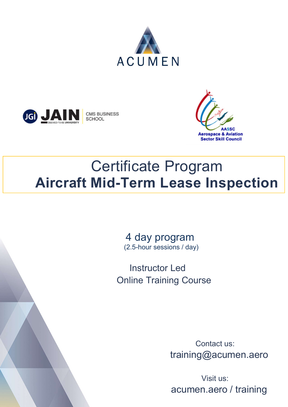





# Certificate Program Aircraft Mid-Term Lease Inspection

 4 day program (2.5-hour sessions / day)

 Instructor Led Online Training Course

> Contact us: training@acumen.aero

 Visit us: acumen.aero / training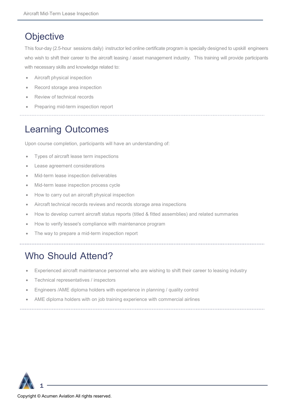#### **Objective**

This four-day (2.5-hour sessions daily) instructor led online certificate program is specially designed to upskill engineers who wish to shift their career to the aircraft leasing / asset management industry. This training will provide participants with necessary skills and knowledge related to:

- Aircraft physical inspection
- Record storage area inspection
- Review of technical records
- Preparing mid-term inspection report

### Learning Outcomes

Upon course completion, participants will have an understanding of:

- Types of aircraft lease term inspections
- Lease agreement considerations
- Mid-term lease inspection deliverables
- Mid-term lease inspection process cycle
- How to carry out an aircraft physical inspection
- Aircraft technical records reviews and records storage area inspections
- How to develop current aircraft status reports (titled & fitted assemblies) and related summaries
- How to verify lessee's compliance with maintenance program
- The way to prepare a mid-term inspection report

### Who Should Attend?

- Experienced aircraft maintenance personnel who are wishing to shift their career to leasing industry
- Technical representatives / inspectors
- Engineers /AME diploma holders with experience in planning / quality control
- AME diploma holders with on job training experience with commercial airlines



1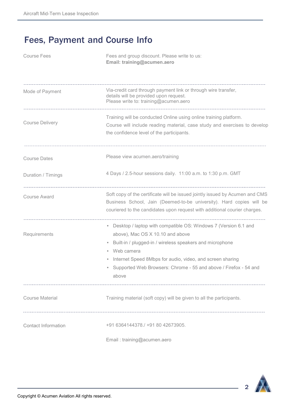#### Fees, Payment and Course Info

| <b>Course Fees</b>         | Fees and group discount. Please write to us:<br>Email: training@acumen.aero                                                                                                                                                                                                                                               |  |  |  |  |  |  |  |  |  |
|----------------------------|---------------------------------------------------------------------------------------------------------------------------------------------------------------------------------------------------------------------------------------------------------------------------------------------------------------------------|--|--|--|--|--|--|--|--|--|
| Mode of Payment            | Via-credit card through payment link or through wire transfer,<br>details will be provided upon request.<br>Please write to: training@acumen.aero                                                                                                                                                                         |  |  |  |  |  |  |  |  |  |
| <b>Course Delivery</b>     | Training will be conducted Online using online training platform.<br>Course will include reading material, case study and exercises to develop<br>the confidence level of the participants.                                                                                                                               |  |  |  |  |  |  |  |  |  |
| <b>Course Dates</b>        | Please view acumen.aero/training                                                                                                                                                                                                                                                                                          |  |  |  |  |  |  |  |  |  |
| Duration / Timings         | 4 Days / 2.5-hour sessions daily. 11:00 a.m. to 1:30 p.m. GMT                                                                                                                                                                                                                                                             |  |  |  |  |  |  |  |  |  |
| <b>Course Award</b>        | Soft copy of the certificate will be issued jointly issued by Acumen and CMS<br>Business School, Jain (Deemed-to-be university). Hard copies will be<br>couriered to the candidates upon request with additional courier charges.                                                                                         |  |  |  |  |  |  |  |  |  |
| Requirements               | • Desktop / laptop with compatible OS: Windows 7 (Version 6.1 and<br>above), Mac OS X 10.10 and above<br>Built-in / plugged-in / wireless speakers and microphone<br>Web camera<br>Internet Speed 8Mbps for audio, video, and screen sharing<br>Supported Web Browsers: Chrome - 55 and above / Firefox - 54 and<br>above |  |  |  |  |  |  |  |  |  |
| <b>Course Material</b>     | Training material (soft copy) will be given to all the participants.                                                                                                                                                                                                                                                      |  |  |  |  |  |  |  |  |  |
| <b>Contact Information</b> | +91 6364144378./ +91 80 42673905.                                                                                                                                                                                                                                                                                         |  |  |  |  |  |  |  |  |  |
|                            | Email: training@acumen.aero                                                                                                                                                                                                                                                                                               |  |  |  |  |  |  |  |  |  |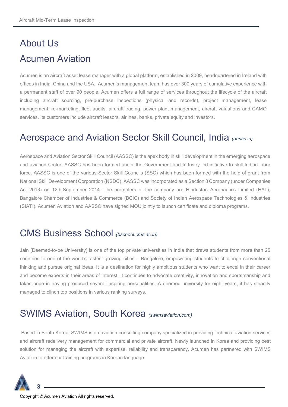## About Us Acumen Aviation

Acumen is an aircraft asset lease manager with a global platform, established in 2009, headquartered in Ireland with offices in India, China and the USA. Acumen's management team has over 300 years of cumulative experience with a permanent staff of over 90 people. Acumen offers a full range of services throughout the lifecycle of the aircraft including aircraft sourcing, pre-purchase inspections (physical and records), project management, lease management, re-marketing, fleet audits, aircraft trading, power plant management, aircraft valuations and CAMO services. Its customers include aircraft lessors, airlines, banks, private equity and investors.

#### Aerospace and Aviation Sector Skill Council, India (aassc.in)

Aerospace and Aviation Sector Skill Council (AASSC) is the apex body in skill development in the emerging aerospace and aviation sector. AASSC has been formed under the Government and Industry led initiative to skill Indian labor force. AASSC is one of the various Sector Skill Councils (SSC) which has been formed with the help of grant from National Skill Development Corporation (NSDC). AASSC was incorporated as a Section 8 Company (under Companies Act 2013) on 12th September 2014. The promoters of the company are Hindustan Aeronautics Limited (HAL), Bangalore Chamber of Industries & Commerce (BCIC) and Society of Indian Aerospace Technologies & Industries (SIATI). Acumen Aviation and AASSC have signed MOU jointly to launch certificate and diploma programs.

#### CMS Business School (bschool.cms.ac.in)

Jain (Deemed-to-be University) is one of the top private universities in India that draws students from more than 25 countries to one of the world's fastest growing cities – Bangalore, empowering students to challenge conventional thinking and pursue original ideas. It is a destination for highly ambitious students who want to excel in their career and become experts in their areas of interest. It continues to advocate creativity, innovation and sportsmanship and takes pride in having produced several inspiring personalities. A deemed university for eight years, it has steadily managed to clinch top positions in various ranking surveys.

#### SWIMS Aviation, South Korea (swimsaviation.com)

 Based in South Korea, SWIMS is an aviation consulting company specialized in providing technical aviation services and aircraft redelivery management for commercial and private aircraft. Newly launched in Korea and providing best solution for managing the aircraft with expertise, reliability and transparency. Acumen has partnered with SWIMS Aviation to offer our training programs in Korean language.

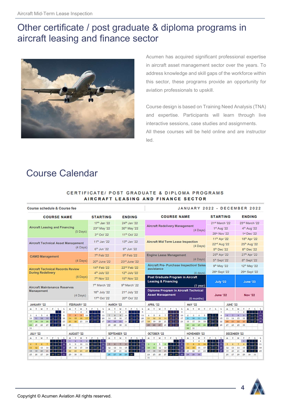#### Other certificate / post graduate & diploma programs in aircraft leasing and finance sector



Acumen has acquired significant professional expertise in aircraft asset management sector over the years. To address knowledge and skill gaps of the workforce within this sector, these programs provide an opportunity for aviation professionals to upskill.

Course design is based on Training Need Analysis (TNA) and expertise. Participants will learn through live interactive sessions, case studies and assignments. All these courses will be held online and are instructor led.

#### Course Calendar

#### CERTIFICATE/ POST GRADUATE & DIPLOMA PROGRAMS AIRCRAFT LEASING AND FINANCE SECTOR

| Course schedule & Course fee                                                                                                                                                                                                                                                                                               |                                                                                                            |                                                                                                   |                              |                                                                                    |                                  |                                                                |                                                                                                     |                                                                                  | <b>JANUARY 2022 - DECEMBER 2022</b>                                        |                                               |                                                                         |                                                 |                                                                                          |                                                                     |                                           |                                           |                                      |                                                         |                                                       |                                                             |                                                                                       |                                                              |                             |                                                      |                                                       |                                                     |                                                                  |                                          |                                    |  |
|----------------------------------------------------------------------------------------------------------------------------------------------------------------------------------------------------------------------------------------------------------------------------------------------------------------------------|------------------------------------------------------------------------------------------------------------|---------------------------------------------------------------------------------------------------|------------------------------|------------------------------------------------------------------------------------|----------------------------------|----------------------------------------------------------------|-----------------------------------------------------------------------------------------------------|----------------------------------------------------------------------------------|----------------------------------------------------------------------------|-----------------------------------------------|-------------------------------------------------------------------------|-------------------------------------------------|------------------------------------------------------------------------------------------|---------------------------------------------------------------------|-------------------------------------------|-------------------------------------------|--------------------------------------|---------------------------------------------------------|-------------------------------------------------------|-------------------------------------------------------------|---------------------------------------------------------------------------------------|--------------------------------------------------------------|-----------------------------|------------------------------------------------------|-------------------------------------------------------|-----------------------------------------------------|------------------------------------------------------------------|------------------------------------------|------------------------------------|--|
| <b>COURSE NAME</b>                                                                                                                                                                                                                                                                                                         |                                                                                                            |                                                                                                   |                              | <b>STARTING</b>                                                                    |                                  |                                                                |                                                                                                     | <b>ENDING</b>                                                                    |                                                                            |                                               |                                                                         |                                                 | <b>COURSE NAME</b>                                                                       |                                                                     |                                           |                                           |                                      |                                                         |                                                       |                                                             | <b>STARTING</b>                                                                       |                                                              |                             |                                                      |                                                       | <b>ENDING</b>                                       |                                                                  |                                          |                                    |  |
| <b>Aircraft Leasing and Financing</b>                                                                                                                                                                                                                                                                                      |                                                                                                            |                                                                                                   |                              | 17th Jan '22<br>23 <sup>rd</sup> May '22                                           |                                  |                                                                | 24 <sup>th</sup> Jan '22<br>30th May '22                                                            |                                                                                  |                                                                            |                                               |                                                                         | <b>Aircraft Redelivery Management</b>           |                                                                                          |                                                                     |                                           |                                           |                                      |                                                         |                                                       | 21st March '22<br>1 <sup>=</sup> Aug '22                    |                                                                                       |                                                              |                             | 23rd March '22<br>4 <sup>th</sup> Aug '22            |                                                       |                                                     |                                                                  |                                          |                                    |  |
| (5 Days)                                                                                                                                                                                                                                                                                                                   |                                                                                                            |                                                                                                   |                              | 3 <sup>nd</sup> Oct '22                                                            |                                  | 11 <sup>th</sup> Oct '22                                       |                                                                                                     |                                                                                  |                                                                            |                                               |                                                                         | $(4$ Days $)$                                   |                                                                                          |                                                                     |                                           |                                           |                                      |                                                         |                                                       |                                                             | 28 <sup>h</sup> Nov '22                                                               |                                                              |                             |                                                      |                                                       | 1ª Dec '22                                          |                                                                  |                                          |                                    |  |
| <b>Aircraft Technical Asset Management</b>                                                                                                                                                                                                                                                                                 |                                                                                                            |                                                                                                   |                              | 11 <sup>th</sup> Jan '22                                                           |                                  | 13th Jan '22                                                   |                                                                                                     |                                                                                  |                                                                            |                                               | <b>Aircraft Mid Term Lease Inspection</b>                               |                                                 |                                                                                          |                                                                     |                                           |                                           |                                      |                                                         |                                                       | 11 <sup>th</sup> Apr '22<br>22rd Aug '22                    |                                                                                       |                                                              |                             | 18 <sup>th</sup> Apr '22<br>25 <sup>th</sup> Aug '22 |                                                       |                                                     |                                                                  |                                          |                                    |  |
| $(4$ Days)                                                                                                                                                                                                                                                                                                                 |                                                                                                            |                                                                                                   |                              | 6 <sup>th</sup> Jun '22                                                            |                                  |                                                                |                                                                                                     | 9 <sup>th</sup> Jun '22                                                          |                                                                            |                                               | $(4$ Days $)$                                                           |                                                 |                                                                                          |                                                                     |                                           |                                           |                                      |                                                         |                                                       | 5th Dec '22                                                 |                                                                                       |                                                              |                             | 8 <sup>th</sup> Dec '22                              |                                                       |                                                     |                                                                  |                                          |                                    |  |
| <b>CAMO Management</b>                                                                                                                                                                                                                                                                                                     |                                                                                                            |                                                                                                   |                              | 7 <sup>th</sup> Feb '22                                                            |                                  |                                                                | 9 <sup>th</sup> Feb '22                                                                             |                                                                                  |                                                                            |                                               |                                                                         | <b>Engine Lease Management</b><br>$(4$ Days)    |                                                                                          |                                                                     |                                           |                                           |                                      |                                                         |                                                       | 25 <sup>th</sup> Apr '22                                    |                                                                                       |                                                              |                             | 27 <sup>th</sup> Apr '22                             |                                                       |                                                     |                                                                  |                                          |                                    |  |
|                                                                                                                                                                                                                                                                                                                            |                                                                                                            | $(4$ Days)                                                                                        |                              | 20 <sup>th</sup> June '22<br>14 <sup>th</sup> Feb '22                              |                                  |                                                                | 23rd June '22<br>22rd Feb '22                                                                       |                                                                                  |                                                                            |                                               |                                                                         | <b>Aircraft Pre- Purchase Inspection/ Sales</b> |                                                                                          |                                                                     |                                           |                                           |                                      |                                                         |                                                       |                                                             |                                                                                       | 5 <sup>th</sup> Sept '22<br>9 <sup>th</sup> May '22          |                             |                                                      |                                                       | 8 <sup>th</sup> Sept '22<br>12th May '22            |                                                                  |                                          |                                    |  |
| <b>Aircraft Technical Records Review</b><br><b>During Redelivery</b>                                                                                                                                                                                                                                                       |                                                                                                            |                                                                                                   |                              | 4 <sup>th</sup> July '22                                                           |                                  |                                                                |                                                                                                     | 12 <sup>th</sup> July '22                                                        |                                                                            |                                               | assistance<br>$(4 \text{ days})$                                        |                                                 |                                                                                          |                                                                     |                                           |                                           |                                      |                                                         | 26 <sup>th</sup> Sept '22                             |                                                             |                                                                                       |                                                              | 29 <sup>th</sup> Sept '22   |                                                      |                                                       |                                                     |                                                                  |                                          |                                    |  |
|                                                                                                                                                                                                                                                                                                                            | $(6$ Days $)$                                                                                              | 7 <sup>th</sup> Nov '22                                                                           |                              | 15 <sup>th</sup> Nov '22                                                           |                                  |                                                                |                                                                                                     |                                                                                  | <b>Post Graduate Program in Aircraft</b><br><b>Leasing &amp; Financing</b> |                                               |                                                                         |                                                 |                                                                                          |                                                                     |                                           |                                           |                                      | July '22                                                |                                                       |                                                             |                                                                                       | <b>June '23</b>                                              |                             |                                                      |                                                       |                                                     |                                                                  |                                          |                                    |  |
| <b>Aircraft Maintenance Reserves</b><br>Management<br>$(4$ Days)                                                                                                                                                                                                                                                           |                                                                                                            |                                                                                                   |                              | 7 <sup>th</sup> March '22                                                          |                                  |                                                                | 9th March' 22                                                                                       |                                                                                  |                                                                            |                                               |                                                                         | $(1$ year)                                      |                                                                                          |                                                                     |                                           |                                           |                                      |                                                         |                                                       |                                                             |                                                                                       |                                                              |                             |                                                      |                                                       |                                                     |                                                                  |                                          |                                    |  |
|                                                                                                                                                                                                                                                                                                                            |                                                                                                            |                                                                                                   |                              | 18th July '22                                                                      |                                  | 21 <sup>st</sup> July '22                                      |                                                                                                     |                                                                                  |                                                                            |                                               | <b>Diploma Program in Aircraft Technical</b><br><b>Asset Management</b> |                                                 |                                                                                          |                                                                     |                                           |                                           |                                      |                                                         | <b>June '22</b>                                       |                                                             |                                                                                       |                                                              | <b>Nov '22</b>              |                                                      |                                                       |                                                     |                                                                  |                                          |                                    |  |
|                                                                                                                                                                                                                                                                                                                            |                                                                                                            | 17th Oct '22                                                                                      |                              |                                                                                    | 20 <sup>th</sup> Oct '22         |                                                                |                                                                                                     |                                                                                  |                                                                            | (6 months)                                    |                                                                         |                                                 |                                                                                          |                                                                     |                                           |                                           |                                      |                                                         |                                                       |                                                             |                                                                                       |                                                              |                             |                                                      |                                                       |                                                     |                                                                  |                                          |                                    |  |
| JANUARY '22                                                                                                                                                                                                                                                                                                                |                                                                                                            | FEBRUARY '22                                                                                      |                              |                                                                                    |                                  | MARCH '22                                                      |                                                                                                     |                                                                                  | APRIL '22                                                                  |                                               |                                                                         |                                                 |                                                                                          |                                                                     |                                           | <b>MAY '22</b>                            |                                      |                                                         | <b>JUNE '22</b>                                       |                                                             |                                                                                       |                                                              |                             |                                                      |                                                       |                                                     |                                                                  |                                          |                                    |  |
| WTF<br>$\mathbf{S}$<br>$M$ T<br>s.<br>$\mathbf{1}$<br>$\ddot{ }$<br>s.<br>$\mathcal{C}_\alpha$<br>$7-1$<br>$\mathbf{r}$<br>Þ<br>$\mathbf{u}$<br>$\overline{a}$<br>12<br>$-14.$<br>10<br>11<br>15<br>15.1<br>1G<br>18<br>19<br>20<br>23<br>37<br>$-21$<br>$-22$<br>$25 -$<br>25<br>28<br>29<br>$24 -$<br>$27-1$<br>50<br>31 | $M$ T<br>п<br>÷.<br>$\overline{14}$<br>15<br>21<br>22<br>25                                                | w<br>T<br>z<br>$\mathfrak{a}$<br>10<br><b>D</b><br>16<br>17 <sup>7</sup><br>23<br>24              | $\left  \cdot \right $<br>18 | F S<br>15.1<br>$\sigma$<br>$11 - 12$<br>13<br>19 <sup>°</sup><br>20<br>27<br>25 26 | M<br>$\mathbf{r}$<br>21<br>25.   | T<br>$\overline{a}$<br>$\mathbf{x}$<br>$14$   $15$<br>22<br>22 | w<br>$\mathbf{r}$<br>a.<br>$\overline{\mathbf{a}}$<br>10<br>$\overline{2}$<br>1G<br>17<br>31<br>CE. | $F$ $S$ $S$<br>$15 - 19$<br>23 24 25 26                                          | 4.13.<br>$11 - 12 - 13$                                                    | $\epsilon$<br>20<br>27                        | $N$ T<br>$\ddot{\phantom{1}}$<br>$\mathbf{11}$<br>18<br>$25 - 26$       | G.<br>12<br>19                                  | <b>W</b><br>$\tau$<br>$\overline{z}$<br>$\mathbf{G}$<br>13<br>14<br>20<br>21<br>27<br>25 | $F$ $S$ $S$<br>$\mathbf{1}$<br>R2<br>$15 -$<br>$22 - 23$<br>22   30 | $-2$<br>$\overline{2}$<br>16 <sub>1</sub> | $\overline{\mathbf{a}}$<br>10<br>17<br>24 | 9<br>16<br>$23 -$<br>30 <sub>1</sub> | M T W T<br>$2 - 3$<br>30<br>17<br>24<br>31              | $\ddot{\phantom{a}}$<br>11<br>18<br>25                | ÷.<br>12<br>19<br>26                                        | $\leq$<br>$\mathcal{L}_{\mathcal{L}}$<br>$6 - 7$<br>$13-1$<br>$20 - 21$<br>an I<br>25 | s<br>$\mathbf{1}$<br>$\mathbf{g}$<br>$-14$<br>15<br>22<br>23 | 13<br>20<br>27 <sup>1</sup> | $M$ T<br>67<br>14<br>21<br>25                        | w<br>$\overline{a}$<br>$\overline{\phantom{a}}$<br>22 | œ.<br>$\overline{a}$<br>$15 \t16$<br>$22 \quad 30$  | $T$ $P$ $S$ $S$<br>$\overline{1}$<br>- 17  <br>23 24 25 26       | $10$ 11 12                               | $\leftarrow$ $\leftarrow$<br>15 19 |  |
| <b>JULY '22</b>                                                                                                                                                                                                                                                                                                            | <b>AUGUST '22</b>                                                                                          |                                                                                                   | SEPTEMBER '22                |                                                                                    |                                  |                                                                |                                                                                                     |                                                                                  |                                                                            |                                               | <b>OCTOBER '22</b><br><b>NOVEMBER '22</b>                               |                                                 |                                                                                          |                                                                     |                                           |                                           |                                      |                                                         |                                                       | <b>DECEMBER '22</b>                                         |                                                                                       |                                                              |                             |                                                      |                                                       |                                                     |                                                                  |                                          |                                    |  |
| $T$ $F$<br>$\sim$<br>w<br>$\sim$<br>$M$ T<br>$\Delta$<br>-21<br>-11<br>10<br>c<br>$\overline{z}$<br>$\sim$<br>$-2$<br>a.<br>15 16 17<br>14<br>12<br>13<br>11<br>21<br>표<br>25<br>24<br>22<br>233<br>18<br>27<br>$29 - 30$<br>31<br>26<br>28<br>25                                                                          | м.<br>$\mathbf{r}$<br>$\mathbf{z}$<br>$\boldsymbol{\kappa}$<br>$\circ$<br>15<br>16<br>23<br>22<br>29<br>33 | w<br>$\mathbf{r}$<br>$\mathbf{4}$<br>$\overline{\phantom{a}}$<br>10<br>17<br>18<br>24<br>25<br>31 | -51<br>26 I                  | F S S<br>$6 - 7$<br>11 12 13 14<br>n<br>$19 - 20$<br>$\overline{25}$<br>-27        | M<br>5.<br>12<br>12 <sup>°</sup> | $\mathbf{r}$<br>$\epsilon$<br>13<br>20<br>26 27                | w<br>$\mathbf{r}$<br>$\mathbf{1}$<br>$\overline{z}$<br>14<br>15<br>21<br>25                         | $F_S$<br>$2^{1/2}$<br><b>S</b> 9 10<br>$16 - 17$<br>$23 - 24$<br>22<br>$22 - 30$ |                                                                            | $\overline{4}$<br>11<br>18<br>$\overline{25}$ | $M$ T<br>а<br>10<br>17<br>24<br>31                                      | 11<br>18<br>25                                  | w<br>$\mathbf{r}$<br>G.<br>12<br>L1<br>25<br>20<br>27<br>26                              | $6$ $7$ $8$<br>14 <sup>1</sup><br>21<br>$25 - 29$                   | 5 <sup>5</sup><br>$1 - 12$<br>15.<br>22   | $\overline{2}$<br>16<br>23<br>30          | 14<br>21<br>28                       | $M$ T<br>$\mathbf{r}$<br>$\mathbf{x}$<br>15<br>22<br>22 | w<br>$\overline{a}$<br>$\mathbf{D}$<br>te<br>23<br>30 | $\pi$<br>$\overline{\phantom{a}}$<br>10 <sub>10</sub><br>17 | $r$ $s$ $s$<br>$4 - 5$ 6<br>$11 - 12 - 13$<br>18 19<br>24 25 26                       | $\overline{\mathbf{33}}$<br>$\overline{x}$                   | s.<br>12<br>19<br>26        | $M$ T<br>G.<br>13<br>20<br>27                        | w<br>$\overline{z}$<br>14<br>21<br>25                 | $\mathbf{r}$<br>п<br>$\mathbf{r}$<br>15<br>22<br>29 | <b>12 I</b><br>-9. 1<br>16 <sub>1</sub><br>23 I<br>$30 \quad 31$ | $F-S-S$<br>$3 - 4$<br>10<br>17.<br>24 25 | 11<br>18                           |  |